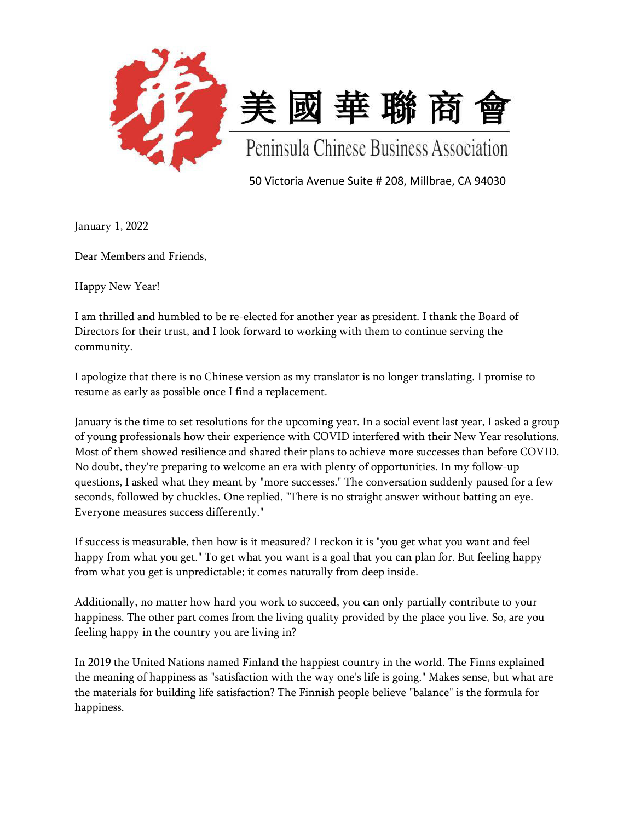

50 Victoria Avenue Suite # 208, Millbrae, CA 94030

January 1, 2022

Dear Members and Friends,

Happy New Year!

I am thrilled and humbled to be re-elected for another year as president. I thank the Board of Directors for their trust, and I look forward to working with them to continue serving the community.

I apologize that there is no Chinese version as my translator is no longer translating. I promise to resume as early as possible once I find a replacement.

January is the time to set resolutions for the upcoming year. In a social event last year, I asked a group of young professionals how their experience with COVID interfered with their New Year resolutions. Most of them showed resilience and shared their plans to achieve more successes than before COVID. No doubt, they're preparing to welcome an era with plenty of opportunities. In my follow-up questions, I asked what they meant by "more successes." The conversation suddenly paused for a few seconds, followed by chuckles. One replied, "There is no straight answer without batting an eye. Everyone measures success differently."

If success is measurable, then how is it measured? I reckon it is "you get what you want and feel happy from what you get." To get what you want is a goal that you can plan for. But feeling happy from what you get is unpredictable; it comes naturally from deep inside.

Additionally, no matter how hard you work to succeed, you can only partially contribute to your happiness. The other part comes from the living quality provided by the place you live. So, are you feeling happy in the country you are living in?

In 2019 the United Nations named Finland the happiest country in the world. The Finns explained the meaning of happiness as "satisfaction with the way one's life is going." Makes sense, but what are the materials for building life satisfaction? The Finnish people believe "balance" is the formula for happiness.